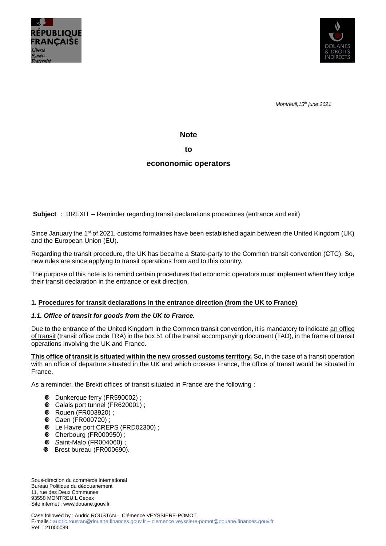



*Montreuil,15th june 2021*

**Note**

**to**

# **econonomic operators**

**Subject** : BREXIT – Reminder regarding transit declarations procedures (entrance and exit)

Since January the 1<sup>st</sup> of 2021, customs formalities have been established again between the United Kingdom (UK) and the European Union (EU).

Regarding the transit procedure, the UK has became a State-party to the Common transit convention (CTC). So, new rules are since applying to transit operations from and to this country.

The purpose of this note is to remind certain procedures that economic operators must implement when they lodge their transit declaration in the entrance or exit direction.

## **1. Procedures for transit declarations in the entrance direction (from the UK to France)**

#### *1.1. Office of transit for goods from the UK to France.*

Due to the entrance of the United Kingdom in the Common transit convention, it is mandatory to indicate an office of transit (transit office code TRA) in the box 51 of the transit accompanying document (TAD), in the frame of transit operations involving the UK and France.

**This office of transit is situated within the new crossed customs territory.** So, in the case of a transit operation with an office of departure situated in the UK and which crosses France, the office of transit would be situated in France.

As a reminder, the Brexit offices of transit situated in France are the following :

- Dunkerque ferry (FR590002) ;
- Calais port tunnel (FR620001) ;
- **<sup>** $\Phi$ **</sup> Rouen (FR003920)**;
- **1** Caen (FR000720);
- Le Havre port CREPS (FRD02300) ;
- Cherbourg (FR000950) ;
- Saint-Malo (FR004060) ;
- Brest bureau (FR000690).

Sous-direction du commerce international Bureau Politique du dédouanement 11, rue des Deux Communes 93558 MONTREUIL Cedex Site internet [: www.douane.gouv.fr](http://www.douane.gouv.fr/)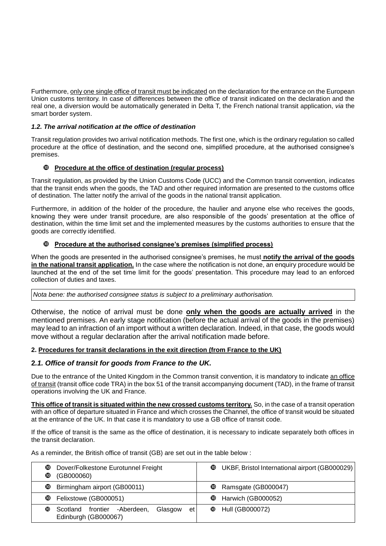Furthermore, only one single office of transit must be indicated on the declaration for the entrance on the European Union customs territory. In case of differences between the office of transit indicated on the declaration and the real one, a diversion would be automatically generated in Delta T, the French national transit application, *via* the smart border system.

# *1.2. The arrival notification at the office of destination*

Transit regulation provides two arrival notification methods. The first one, which is the ordinary regulation so called procedure at the office of destination, and the second one, simplified procedure, at the authorised consignee's premises.

# **Procedure at the office of destination (regular process)**

Transit regulation, as provided by the Union Customs Code (UCC) and the Common transit convention, indicates that the transit ends when the goods, the TAD and other required information are presented to the customs office of destination. The latter notify the arrival of the goods in the national transit application.

Furthermore, in addition of the holder of the procedure, the haulier and anyone else who receives the goods, knowing they were under transit procedure, are also responsible of the goods' presentation at the office of destination, within the time limit set and the implemented measures by the customs authorities to ensure that the goods are correctly identified.

# **Procedure at the authorised consignee's premises (simplified process)**

When the goods are presented in the authorised consignee's premises, he must **notify the arrival of the goods in the national transit application.** In the case where the notification is not done, an enquiry procedure would be launched at the end of the set time limit for the goods' presentation. This procedure may lead to an enforced collection of duties and taxes.

*Nota bene: the authorised consignee status is subject to a preliminary authorisation.*

Otherwise, the notice of arrival must be done **only when the goods are actually arrived** in the mentioned premises. An early stage notification (before the actual arrival of the goods in the premises) may lead to an infraction of an import without a written declaration. Indeed, in that case, the goods would move without a regular declaration after the arrival notification made before.

## **2. Procedures for transit declarations in the exit direction (from France to the UK)**

## **2***.1. Office of transit for goods from France to the UK.*

Due to the entrance of the United Kingdom in the Common transit convention, it is mandatory to indicate an office of transit (transit office code TRA) in the box 51 of the transit accompanying document (TAD), in the frame of transit operations involving the UK and France.

**This office of transit is situated within the new crossed customs territory.** So, in the case of a transit operation with an office of departure situated in France and which crosses the Channel, the office of transit would be situated at the entrance of the UK. In that case it is mandatory to use a GB office of transit code.

If the office of transit is the same as the office of destination, it is necessary to indicate separately both offices in the transit declaration.

As a reminder, the British office of transit (GB) are set out in the table below :

| ◍ | <sup>1</sup> Dover/Folkestone Eurotunnel Freight<br>(GB000060)        | ◍ | UKBF, Bristol International airport (GB000029) |
|---|-----------------------------------------------------------------------|---|------------------------------------------------|
|   | <b>C</b> Birmingham airport (GB00011)                                 |   | <b>10</b> Ramsgate (GB000047)                  |
|   | <b>C</b> Felixstowe (GB000051)                                        |   | <b>4</b> Harwich (GB000052)                    |
| ◍ | Scotland frontier -Aberdeen,<br>Glasgow<br>et<br>Edinburgh (GB000067) |   | <b>4</b> Hull (GB000072)                       |